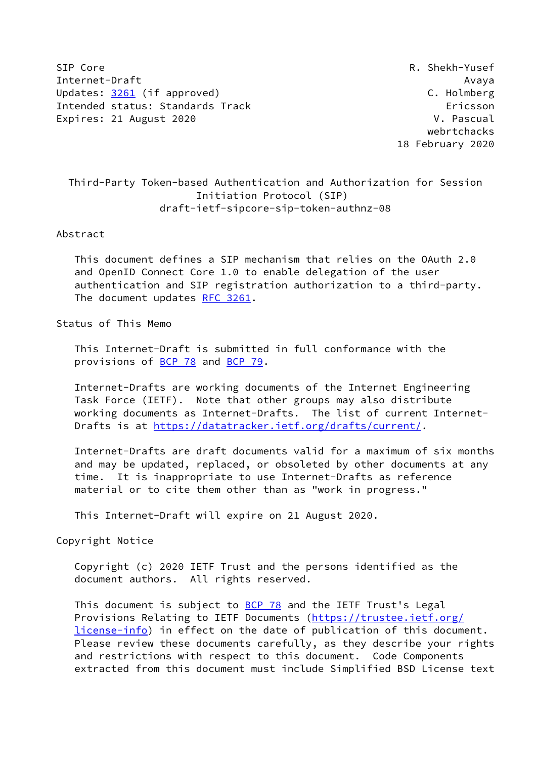SIP Core R. Shekh-Yusef Internet-Draft Avaya Updates: [3261](https://datatracker.ietf.org/doc/pdf/rfc3261) (if approved) C. Holmberg Intended status: Standards Track Ericsson Expires: 21 August 2020 **V. Pascual** 

 webrtchacks 18 February 2020

# Third-Party Token-based Authentication and Authorization for Session Initiation Protocol (SIP) draft-ietf-sipcore-sip-token-authnz-08

#### Abstract

 This document defines a SIP mechanism that relies on the OAuth 2.0 and OpenID Connect Core 1.0 to enable delegation of the user authentication and SIP registration authorization to a third-party. The document updates [RFC 3261](https://datatracker.ietf.org/doc/pdf/rfc3261).

# Status of This Memo

 This Internet-Draft is submitted in full conformance with the provisions of **BCP 78** and **BCP 79**.

 Internet-Drafts are working documents of the Internet Engineering Task Force (IETF). Note that other groups may also distribute working documents as Internet-Drafts. The list of current Internet Drafts is at<https://datatracker.ietf.org/drafts/current/>.

 Internet-Drafts are draft documents valid for a maximum of six months and may be updated, replaced, or obsoleted by other documents at any time. It is inappropriate to use Internet-Drafts as reference material or to cite them other than as "work in progress."

This Internet-Draft will expire on 21 August 2020.

Copyright Notice

 Copyright (c) 2020 IETF Trust and the persons identified as the document authors. All rights reserved.

This document is subject to [BCP 78](https://datatracker.ietf.org/doc/pdf/bcp78) and the IETF Trust's Legal Provisions Relating to IETF Documents ([https://trustee.ietf.org/](https://trustee.ietf.org/license-info) [license-info](https://trustee.ietf.org/license-info)) in effect on the date of publication of this document. Please review these documents carefully, as they describe your rights and restrictions with respect to this document. Code Components extracted from this document must include Simplified BSD License text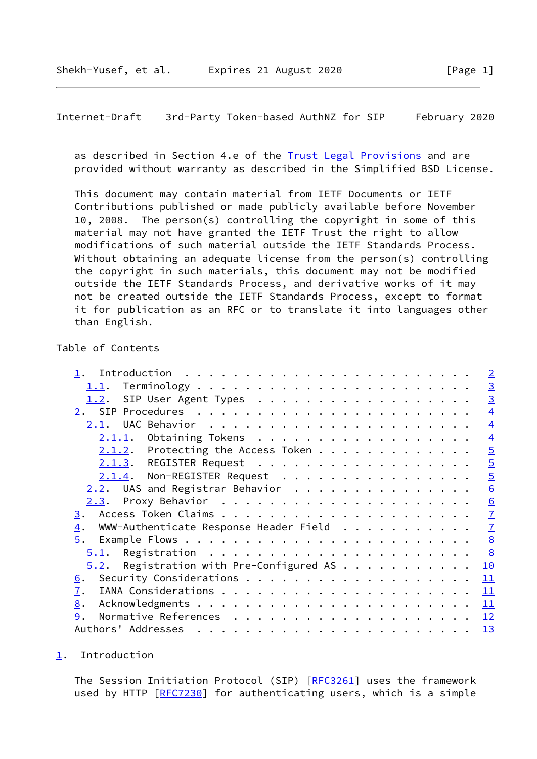<span id="page-1-1"></span>Internet-Draft 3rd-Party Token-based AuthNZ for SIP February 2020

 as described in Section 4.e of the [Trust Legal Provisions](https://trustee.ietf.org/license-info) and are provided without warranty as described in the Simplified BSD License.

 This document may contain material from IETF Documents or IETF Contributions published or made publicly available before November 10, 2008. The person(s) controlling the copyright in some of this material may not have granted the IETF Trust the right to allow modifications of such material outside the IETF Standards Process. Without obtaining an adequate license from the person(s) controlling the copyright in such materials, this document may not be modified outside the IETF Standards Process, and derivative works of it may not be created outside the IETF Standards Process, except to format it for publication as an RFC or to translate it into languages other than English.

# Table of Contents

|                                                            | $\overline{2}$ |
|------------------------------------------------------------|----------------|
|                                                            | $\overline{3}$ |
| SIP User Agent Types<br><u>1.2</u> .                       | $\overline{3}$ |
|                                                            | $\overline{4}$ |
|                                                            | $\overline{4}$ |
| $2.1.1.$ Obtaining Tokens                                  | $\overline{4}$ |
| $2.1.2$ . Protecting the Access Token                      | $\overline{5}$ |
| 2.1.3. REGISTER Request                                    | $\overline{5}$ |
| 2.1.4. Non-REGISTER Request                                | $\overline{5}$ |
| $2.2$ . UAS and Registrar Behavior                         | 6              |
|                                                            | 6              |
| 3.                                                         | $\overline{1}$ |
| WWW-Authenticate Response Header Field<br>$\overline{4}$ . | $\overline{1}$ |
| 5.                                                         | 8              |
| 5.1.                                                       | 8              |
| Registration with Pre-Configured AS<br>5.2.                | 10             |
| 6.                                                         | 11             |
| 7.                                                         | 11             |
| 8.                                                         | 11             |
| 9.                                                         | 12             |
|                                                            | 13             |
|                                                            |                |

<span id="page-1-0"></span>[1](#page-1-0). Introduction

The Session Initiation Protocol (SIP) [[RFC3261](https://datatracker.ietf.org/doc/pdf/rfc3261)] uses the framework used by HTTP [\[RFC7230](https://datatracker.ietf.org/doc/pdf/rfc7230)] for authenticating users, which is a simple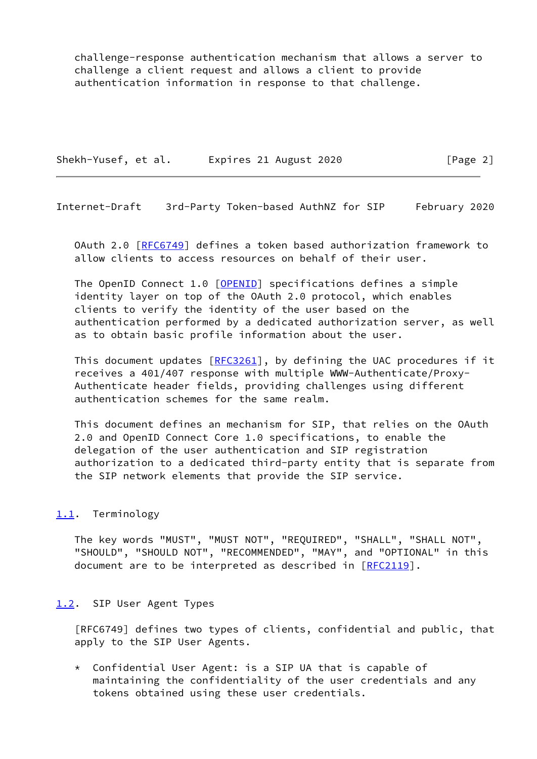challenge-response authentication mechanism that allows a server to challenge a client request and allows a client to provide authentication information in response to that challenge.

Shekh-Yusef, et al. Expires 21 August 2020 [Page 2]

<span id="page-2-1"></span>Internet-Draft 3rd-Party Token-based AuthNZ for SIP February 2020

 OAuth 2.0 [[RFC6749](https://datatracker.ietf.org/doc/pdf/rfc6749)] defines a token based authorization framework to allow clients to access resources on behalf of their user.

The OpenID Connect 1.0 [\[OPENID](#page-12-3)] specifications defines a simple identity layer on top of the OAuth 2.0 protocol, which enables clients to verify the identity of the user based on the authentication performed by a dedicated authorization server, as well as to obtain basic profile information about the user.

This document updates  $[REC3261]$ , by defining the UAC procedures if it receives a 401/407 response with multiple WWW-Authenticate/Proxy- Authenticate header fields, providing challenges using different authentication schemes for the same realm.

 This document defines an mechanism for SIP, that relies on the OAuth 2.0 and OpenID Connect Core 1.0 specifications, to enable the delegation of the user authentication and SIP registration authorization to a dedicated third-party entity that is separate from the SIP network elements that provide the SIP service.

# <span id="page-2-0"></span>[1.1](#page-2-0). Terminology

 The key words "MUST", "MUST NOT", "REQUIRED", "SHALL", "SHALL NOT", "SHOULD", "SHOULD NOT", "RECOMMENDED", "MAY", and "OPTIONAL" in this document are to be interpreted as described in [\[RFC2119](https://datatracker.ietf.org/doc/pdf/rfc2119)].

# <span id="page-2-2"></span>[1.2](#page-2-2). SIP User Agent Types

 [RFC6749] defines two types of clients, confidential and public, that apply to the SIP User Agents.

 \* Confidential User Agent: is a SIP UA that is capable of maintaining the confidentiality of the user credentials and any tokens obtained using these user credentials.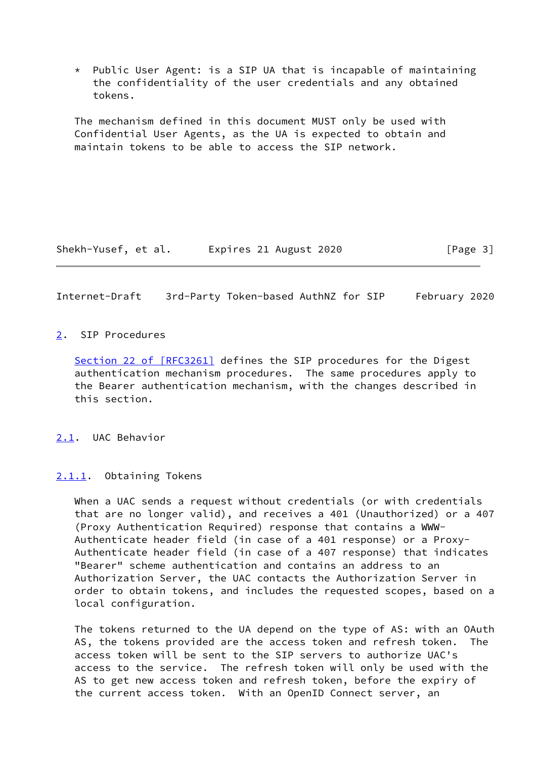\* Public User Agent: is a SIP UA that is incapable of maintaining the confidentiality of the user credentials and any obtained tokens.

 The mechanism defined in this document MUST only be used with Confidential User Agents, as the UA is expected to obtain and maintain tokens to be able to access the SIP network.

Shekh-Yusef, et al. Expires 21 August 2020 [Page 3]

<span id="page-3-1"></span>Internet-Draft 3rd-Party Token-based AuthNZ for SIP February 2020

#### <span id="page-3-0"></span>[2](#page-3-0). SIP Procedures

Section [22 of \[RFC3261\]](https://datatracker.ietf.org/doc/pdf/rfc3261#section-22) defines the SIP procedures for the Digest authentication mechanism procedures. The same procedures apply to the Bearer authentication mechanism, with the changes described in this section.

<span id="page-3-2"></span>[2.1](#page-3-2). UAC Behavior

<span id="page-3-3"></span>[2.1.1](#page-3-3). Obtaining Tokens

 When a UAC sends a request without credentials (or with credentials that are no longer valid), and receives a 401 (Unauthorized) or a 407 (Proxy Authentication Required) response that contains a WWW- Authenticate header field (in case of a 401 response) or a Proxy- Authenticate header field (in case of a 407 response) that indicates "Bearer" scheme authentication and contains an address to an Authorization Server, the UAC contacts the Authorization Server in order to obtain tokens, and includes the requested scopes, based on a local configuration.

 The tokens returned to the UA depend on the type of AS: with an OAuth AS, the tokens provided are the access token and refresh token. The access token will be sent to the SIP servers to authorize UAC's access to the service. The refresh token will only be used with the AS to get new access token and refresh token, before the expiry of the current access token. With an OpenID Connect server, an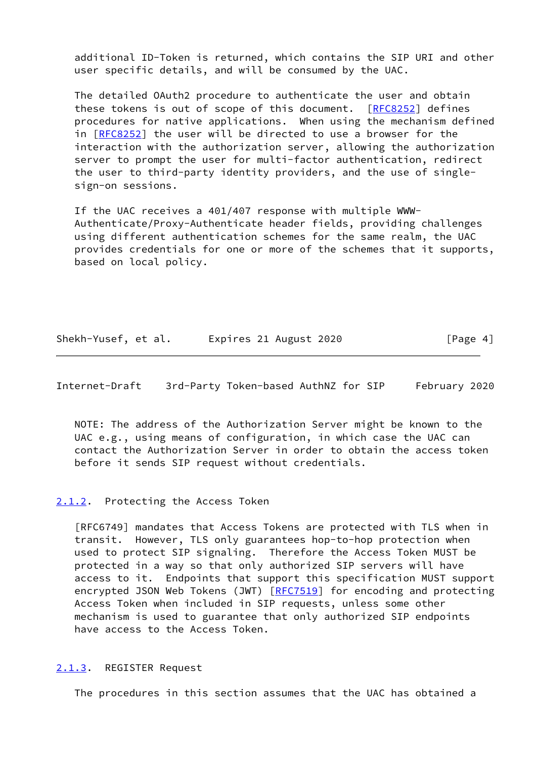additional ID-Token is returned, which contains the SIP URI and other user specific details, and will be consumed by the UAC.

 The detailed OAuth2 procedure to authenticate the user and obtain these tokens is out of scope of this document. [\[RFC8252](https://datatracker.ietf.org/doc/pdf/rfc8252)] defines procedures for native applications. When using the mechanism defined in [[RFC8252\]](https://datatracker.ietf.org/doc/pdf/rfc8252) the user will be directed to use a browser for the interaction with the authorization server, allowing the authorization server to prompt the user for multi-factor authentication, redirect the user to third-party identity providers, and the use of single sign-on sessions.

 If the UAC receives a 401/407 response with multiple WWW- Authenticate/Proxy-Authenticate header fields, providing challenges using different authentication schemes for the same realm, the UAC provides credentials for one or more of the schemes that it supports, based on local policy.

|  | Shekh-Yusef, et al. | Expires 21 August 2020 | [Page 4] |
|--|---------------------|------------------------|----------|
|--|---------------------|------------------------|----------|

<span id="page-4-1"></span>Internet-Draft 3rd-Party Token-based AuthNZ for SIP February 2020

 NOTE: The address of the Authorization Server might be known to the UAC e.g., using means of configuration, in which case the UAC can contact the Authorization Server in order to obtain the access token before it sends SIP request without credentials.

# <span id="page-4-0"></span>[2.1.2](#page-4-0). Protecting the Access Token

 [RFC6749] mandates that Access Tokens are protected with TLS when in transit. However, TLS only guarantees hop-to-hop protection when used to protect SIP signaling. Therefore the Access Token MUST be protected in a way so that only authorized SIP servers will have access to it. Endpoints that support this specification MUST support encrypted JSON Web Tokens (JWT) [\[RFC7519](https://datatracker.ietf.org/doc/pdf/rfc7519)] for encoding and protecting Access Token when included in SIP requests, unless some other mechanism is used to guarantee that only authorized SIP endpoints have access to the Access Token.

#### <span id="page-4-2"></span>[2.1.3](#page-4-2). REGISTER Request

The procedures in this section assumes that the UAC has obtained a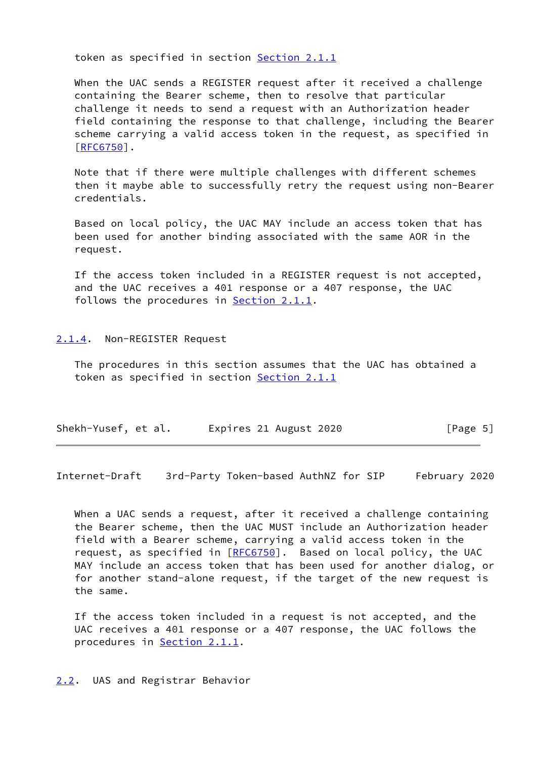token as specified in section [Section 2.1.1](#page-3-3)

 When the UAC sends a REGISTER request after it received a challenge containing the Bearer scheme, then to resolve that particular challenge it needs to send a request with an Authorization header field containing the response to that challenge, including the Bearer scheme carrying a valid access token in the request, as specified in [\[RFC6750](https://datatracker.ietf.org/doc/pdf/rfc6750)].

 Note that if there were multiple challenges with different schemes then it maybe able to successfully retry the request using non-Bearer credentials.

 Based on local policy, the UAC MAY include an access token that has been used for another binding associated with the same AOR in the request.

 If the access token included in a REGISTER request is not accepted, and the UAC receives a 401 response or a 407 response, the UAC follows the procedures in [Section 2.1.1.](#page-3-3)

<span id="page-5-0"></span>[2.1.4](#page-5-0). Non-REGISTER Request

 The procedures in this section assumes that the UAC has obtained a token as specified in section [Section 2.1.1](#page-3-3)

| Shekh-Yusef, et al. | Expires 21 August 2020 | [Page 5] |
|---------------------|------------------------|----------|
|---------------------|------------------------|----------|

<span id="page-5-2"></span>Internet-Draft 3rd-Party Token-based AuthNZ for SIP February 2020

When a UAC sends a request, after it received a challenge containing the Bearer scheme, then the UAC MUST include an Authorization header field with a Bearer scheme, carrying a valid access token in the request, as specified in [\[RFC6750](https://datatracker.ietf.org/doc/pdf/rfc6750)]. Based on local policy, the UAC MAY include an access token that has been used for another dialog, or for another stand-alone request, if the target of the new request is the same.

 If the access token included in a request is not accepted, and the UAC receives a 401 response or a 407 response, the UAC follows the procedures in [Section 2.1.1.](#page-3-3)

<span id="page-5-1"></span>[2.2](#page-5-1). UAS and Registrar Behavior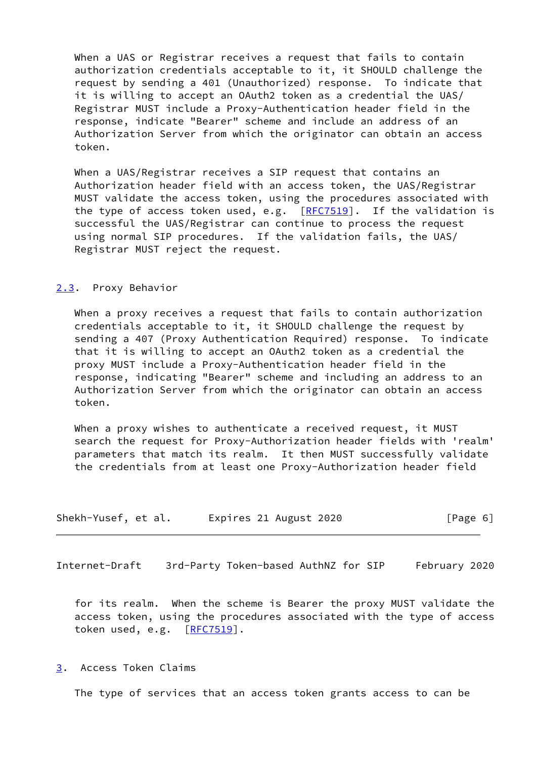When a UAS or Registrar receives a request that fails to contain authorization credentials acceptable to it, it SHOULD challenge the request by sending a 401 (Unauthorized) response. To indicate that it is willing to accept an OAuth2 token as a credential the UAS/ Registrar MUST include a Proxy-Authentication header field in the response, indicate "Bearer" scheme and include an address of an Authorization Server from which the originator can obtain an access token.

 When a UAS/Registrar receives a SIP request that contains an Authorization header field with an access token, the UAS/Registrar MUST validate the access token, using the procedures associated with the type of access token used, e.g.  $[RFC7519]$  $[RFC7519]$ . If the validation is successful the UAS/Registrar can continue to process the request using normal SIP procedures. If the validation fails, the UAS/ Registrar MUST reject the request.

# <span id="page-6-0"></span>[2.3](#page-6-0). Proxy Behavior

 When a proxy receives a request that fails to contain authorization credentials acceptable to it, it SHOULD challenge the request by sending a 407 (Proxy Authentication Required) response. To indicate that it is willing to accept an OAuth2 token as a credential the proxy MUST include a Proxy-Authentication header field in the response, indicating "Bearer" scheme and including an address to an Authorization Server from which the originator can obtain an access token.

When a proxy wishes to authenticate a received request, it MUST search the request for Proxy-Authorization header fields with 'realm' parameters that match its realm. It then MUST successfully validate the credentials from at least one Proxy-Authorization header field

| Shekh-Yusef, et al. | Expires 21 August 2020 | [Page 6] |
|---------------------|------------------------|----------|
|---------------------|------------------------|----------|

<span id="page-6-2"></span>Internet-Draft 3rd-Party Token-based AuthNZ for SIP February 2020

 for its realm. When the scheme is Bearer the proxy MUST validate the access token, using the procedures associated with the type of access token used, e.g. [[RFC7519](https://datatracker.ietf.org/doc/pdf/rfc7519)].

<span id="page-6-1"></span>[3](#page-6-1). Access Token Claims

The type of services that an access token grants access to can be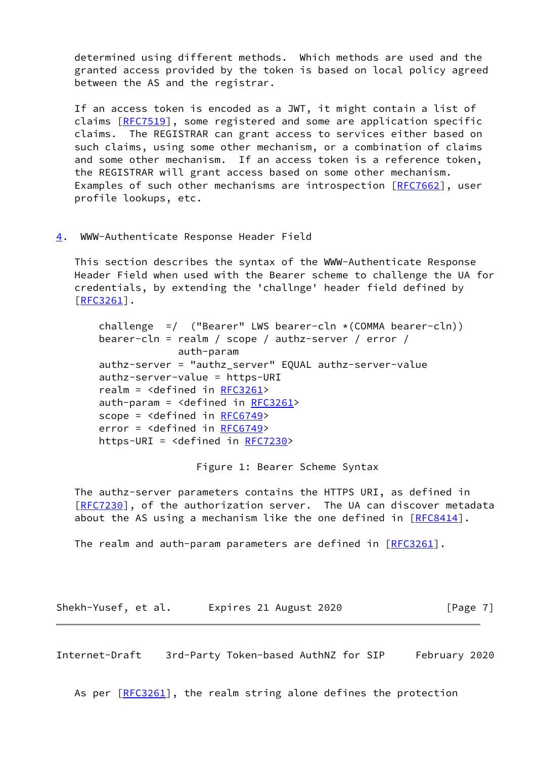determined using different methods. Which methods are used and the granted access provided by the token is based on local policy agreed between the AS and the registrar.

 If an access token is encoded as a JWT, it might contain a list of claims [\[RFC7519](https://datatracker.ietf.org/doc/pdf/rfc7519)], some registered and some are application specific claims. The REGISTRAR can grant access to services either based on such claims, using some other mechanism, or a combination of claims and some other mechanism. If an access token is a reference token, the REGISTRAR will grant access based on some other mechanism. Examples of such other mechanisms are introspection [\[RFC7662](https://datatracker.ietf.org/doc/pdf/rfc7662)], user profile lookups, etc.

<span id="page-7-0"></span>[4](#page-7-0). WWW-Authenticate Response Header Field

 This section describes the syntax of the WWW-Authenticate Response Header Field when used with the Bearer scheme to challenge the UA for credentials, by extending the 'challnge' header field defined by [\[RFC3261](https://datatracker.ietf.org/doc/pdf/rfc3261)].

challenge  $=$  ("Bearer" LWS bearer-cln  $\star$  (COMMA bearer-cln)) bearer-cln = realm / scope / authz-server / error / auth-param authz-server = "authz\_server" EQUAL authz-server-value authz-server-value = https-URI realm = <defined in [RFC3261](https://datatracker.ietf.org/doc/pdf/rfc3261)> auth-param = <defined in [RFC3261](https://datatracker.ietf.org/doc/pdf/rfc3261)> scope = <defined in [RFC6749](https://datatracker.ietf.org/doc/pdf/rfc6749)> error = <defined in [RFC6749](https://datatracker.ietf.org/doc/pdf/rfc6749)> https-URI = <defined in [RFC7230>](https://datatracker.ietf.org/doc/pdf/rfc7230)

Figure 1: Bearer Scheme Syntax

 The authz-server parameters contains the HTTPS URI, as defined in [\[RFC7230](https://datatracker.ietf.org/doc/pdf/rfc7230)], of the authorization server. The UA can discover metadata about the AS using a mechanism like the one defined in  $[RECS414]$ .

The realm and auth-param parameters are defined in  $[REC3261]$ .

Shekh-Yusef, et al. Expires 21 August 2020 [Page 7]

<span id="page-7-1"></span>Internet-Draft 3rd-Party Token-based AuthNZ for SIP February 2020

As per  $[REC3261]$ , the realm string alone defines the protection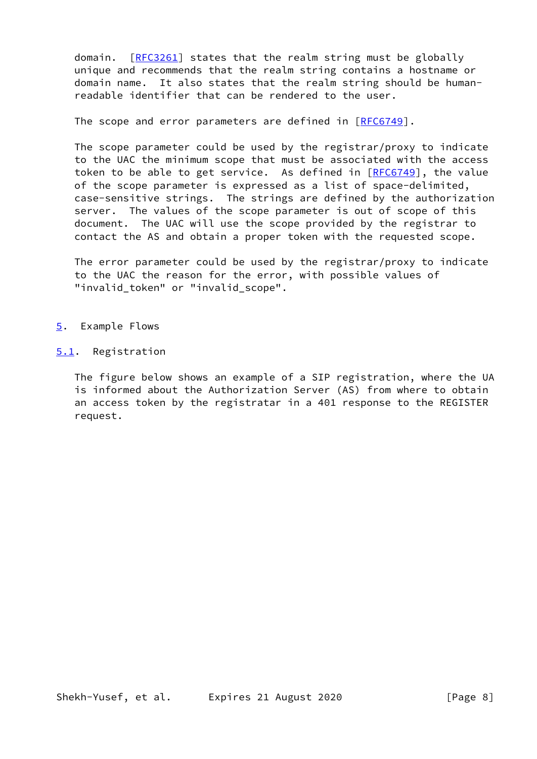domain. [\[RFC3261](https://datatracker.ietf.org/doc/pdf/rfc3261)] states that the realm string must be globally unique and recommends that the realm string contains a hostname or domain name. It also states that the realm string should be human readable identifier that can be rendered to the user.

The scope and error parameters are defined in [[RFC6749](https://datatracker.ietf.org/doc/pdf/rfc6749)].

 The scope parameter could be used by the registrar/proxy to indicate to the UAC the minimum scope that must be associated with the access token to be able to get service. As defined in  $[REC6749]$ , the value of the scope parameter is expressed as a list of space-delimited, case-sensitive strings. The strings are defined by the authorization server. The values of the scope parameter is out of scope of this document. The UAC will use the scope provided by the registrar to contact the AS and obtain a proper token with the requested scope.

 The error parameter could be used by the registrar/proxy to indicate to the UAC the reason for the error, with possible values of "invalid\_token" or "invalid\_scope".

- <span id="page-8-0"></span>[5](#page-8-0). Example Flows
- <span id="page-8-1"></span>[5.1](#page-8-1). Registration

 The figure below shows an example of a SIP registration, where the UA is informed about the Authorization Server (AS) from where to obtain an access token by the registratar in a 401 response to the REGISTER request.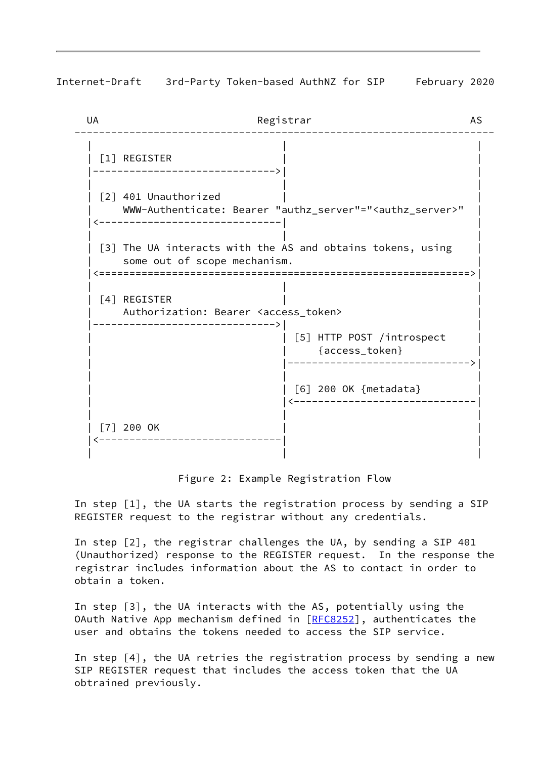Internet-Draft 3rd-Party Token-based AuthNZ for SIP February 2020

| UA | Registrar                                                                                        |
|----|--------------------------------------------------------------------------------------------------|
|    | [1] REGISTER                                                                                     |
|    | [2] 401 Unauthorized<br>WWW-Authenticate: Bearer "authz_server"=" <authz_server>"</authz_server> |
|    | [3] The UA interacts with the AS and obtains tokens, using<br>some out of scope mechanism.       |
|    | [4] REGISTER<br>Authorization: Bearer <access_token></access_token>                              |
|    | [5] HTTP POST /introspect<br>{access_token}                                                      |
|    | [6] 200 OK {metadata}                                                                            |
|    | $[7]$ 200 OK                                                                                     |
|    |                                                                                                  |

Figure 2: Example Registration Flow

 In step [1], the UA starts the registration process by sending a SIP REGISTER request to the registrar without any credentials.

 In step [2], the registrar challenges the UA, by sending a SIP 401 (Unauthorized) response to the REGISTER request. In the response the registrar includes information about the AS to contact in order to obtain a token.

 In step [3], the UA interacts with the AS, potentially using the OAuth Native App mechanism defined in [[RFC8252](https://datatracker.ietf.org/doc/pdf/rfc8252)], authenticates the user and obtains the tokens needed to access the SIP service.

 In step [4], the UA retries the registration process by sending a new SIP REGISTER request that includes the access token that the UA obtrained previously.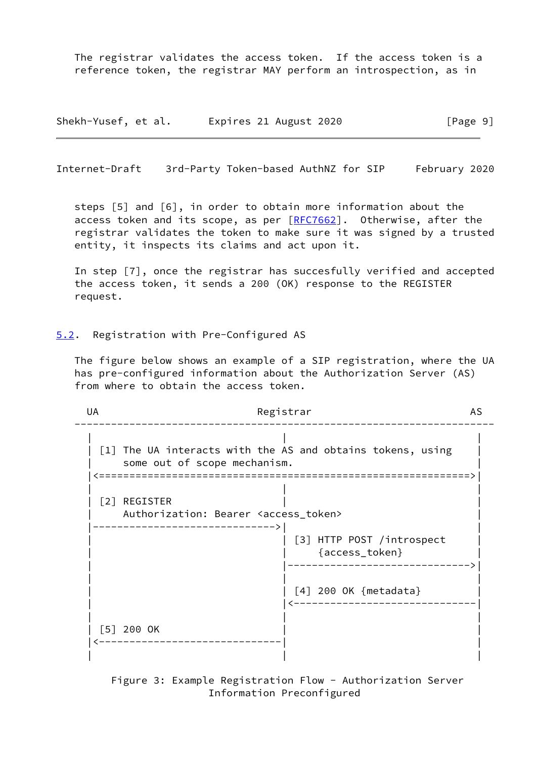The registrar validates the access token. If the access token is a reference token, the registrar MAY perform an introspection, as in

Shekh-Yusef, et al. Expires 21 August 2020 [Page 9]

<span id="page-10-1"></span>Internet-Draft 3rd-Party Token-based AuthNZ for SIP February 2020

 steps [5] and [6], in order to obtain more information about the access token and its scope, as per  $[REC7662]$ . Otherwise, after the registrar validates the token to make sure it was signed by a trusted entity, it inspects its claims and act upon it.

 In step [7], once the registrar has succesfully verified and accepted the access token, it sends a 200 (OK) response to the REGISTER request.

<span id="page-10-0"></span>[5.2](#page-10-0). Registration with Pre-Configured AS

 The figure below shows an example of a SIP registration, where the UA has pre-configured information about the Authorization Server (AS) from where to obtain the access token.

UA Registrar AS --------------------------------------------------------------------- | | | | [1] The UA interacts with the AS and obtains tokens, using | some out of scope mechanism. |<=============================================================>| | | | | [2] REGISTER | | Authorization: Bearer <access\_token> |------------------------------>| |  $|$  [3] HTTP POST /introspect  $|$  | | {access\_token} | | |------------------------------>| | | | | | [4] 200 OK {metadata} | | |<------------------------------| | | | | [5] 200 OK |<------------------------------| | | | |

> Figure 3: Example Registration Flow - Authorization Server Information Preconfigured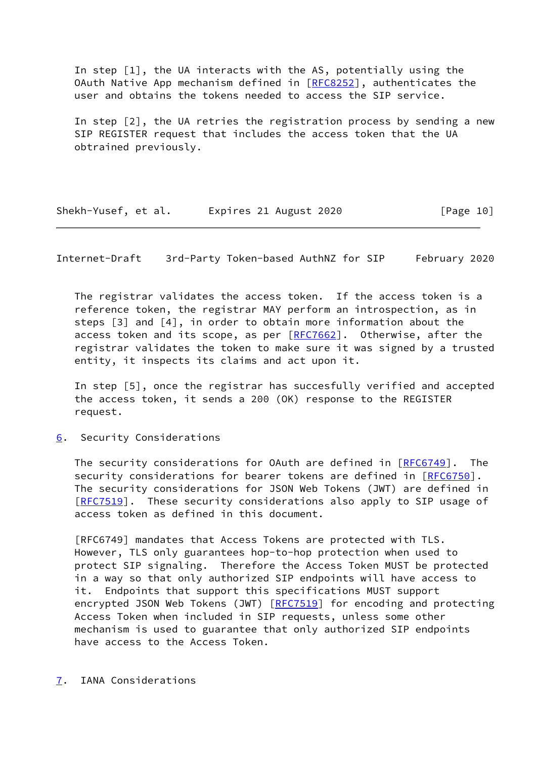In step [1], the UA interacts with the AS, potentially using the OAuth Native App mechanism defined in [[RFC8252](https://datatracker.ietf.org/doc/pdf/rfc8252)], authenticates the user and obtains the tokens needed to access the SIP service.

 In step [2], the UA retries the registration process by sending a new SIP REGISTER request that includes the access token that the UA obtrained previously.

Shekh-Yusef, et al. Expires 21 August 2020 [Page 10]

<span id="page-11-1"></span>Internet-Draft 3rd-Party Token-based AuthNZ for SIP February 2020

 The registrar validates the access token. If the access token is a reference token, the registrar MAY perform an introspection, as in steps [3] and [4], in order to obtain more information about the access token and its scope, as per [[RFC7662\]](https://datatracker.ietf.org/doc/pdf/rfc7662). Otherwise, after the registrar validates the token to make sure it was signed by a trusted entity, it inspects its claims and act upon it.

 In step [5], once the registrar has succesfully verified and accepted the access token, it sends a 200 (OK) response to the REGISTER request.

<span id="page-11-0"></span>[6](#page-11-0). Security Considerations

 The security considerations for OAuth are defined in [\[RFC6749](https://datatracker.ietf.org/doc/pdf/rfc6749)]. The security considerations for bearer tokens are defined in [\[RFC6750](https://datatracker.ietf.org/doc/pdf/rfc6750)]. The security considerations for JSON Web Tokens (JWT) are defined in [\[RFC7519](https://datatracker.ietf.org/doc/pdf/rfc7519)]. These security considerations also apply to SIP usage of access token as defined in this document.

 [RFC6749] mandates that Access Tokens are protected with TLS. However, TLS only guarantees hop-to-hop protection when used to protect SIP signaling. Therefore the Access Token MUST be protected in a way so that only authorized SIP endpoints will have access to it. Endpoints that support this specifications MUST support encrypted JSON Web Tokens (JWT) [\[RFC7519](https://datatracker.ietf.org/doc/pdf/rfc7519)] for encoding and protecting Access Token when included in SIP requests, unless some other mechanism is used to guarantee that only authorized SIP endpoints have access to the Access Token.

<span id="page-11-2"></span>[7](#page-11-2). IANA Considerations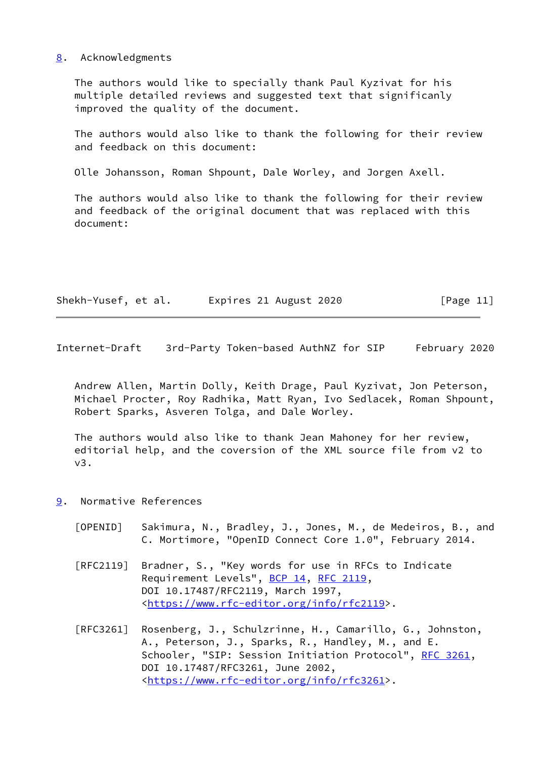## <span id="page-12-0"></span>[8](#page-12-0). Acknowledgments

 The authors would like to specially thank Paul Kyzivat for his multiple detailed reviews and suggested text that significanly improved the quality of the document.

 The authors would also like to thank the following for their review and feedback on this document:

Olle Johansson, Roman Shpount, Dale Worley, and Jorgen Axell.

 The authors would also like to thank the following for their review and feedback of the original document that was replaced with this document:

| Shekh-Yusef, et al. | Expires 21 August 2020 | [Page 11] |
|---------------------|------------------------|-----------|
|---------------------|------------------------|-----------|

<span id="page-12-2"></span>Internet-Draft 3rd-Party Token-based AuthNZ for SIP February 2020

 Andrew Allen, Martin Dolly, Keith Drage, Paul Kyzivat, Jon Peterson, Michael Procter, Roy Radhika, Matt Ryan, Ivo Sedlacek, Roman Shpount, Robert Sparks, Asveren Tolga, and Dale Worley.

 The authors would also like to thank Jean Mahoney for her review, editorial help, and the coversion of the XML source file from v2 to v3.

- <span id="page-12-3"></span><span id="page-12-1"></span>[9](#page-12-1). Normative References
	- [OPENID] Sakimura, N., Bradley, J., Jones, M., de Medeiros, B., and C. Mortimore, "OpenID Connect Core 1.0", February 2014.
	- [RFC2119] Bradner, S., "Key words for use in RFCs to Indicate Requirement Levels", [BCP 14](https://datatracker.ietf.org/doc/pdf/bcp14), [RFC 2119](https://datatracker.ietf.org/doc/pdf/rfc2119), DOI 10.17487/RFC2119, March 1997, <[https://www.rfc-editor.org/info/rfc2119>](https://www.rfc-editor.org/info/rfc2119).
	- [RFC3261] Rosenberg, J., Schulzrinne, H., Camarillo, G., Johnston, A., Peterson, J., Sparks, R., Handley, M., and E. Schooler, "SIP: Session Initiation Protocol", [RFC 3261](https://datatracker.ietf.org/doc/pdf/rfc3261), DOI 10.17487/RFC3261, June 2002, <[https://www.rfc-editor.org/info/rfc3261>](https://www.rfc-editor.org/info/rfc3261).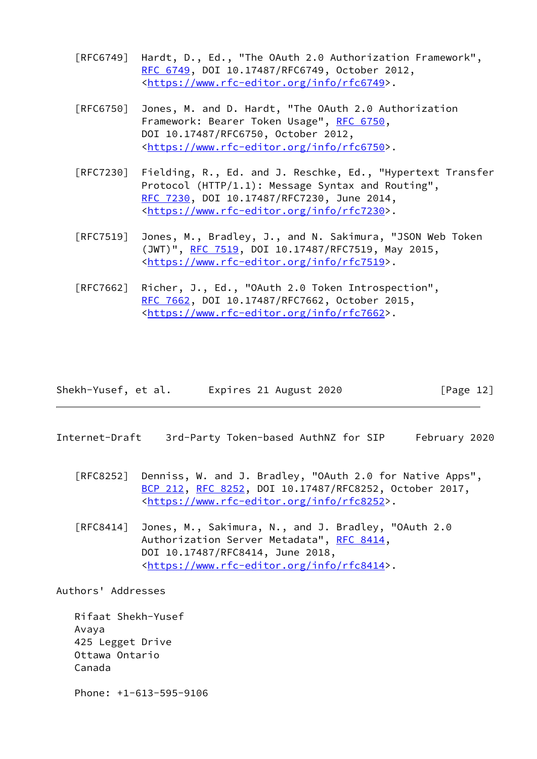- [RFC6749] Hardt, D., Ed., "The OAuth 2.0 Authorization Framework", [RFC 6749,](https://datatracker.ietf.org/doc/pdf/rfc6749) DOI 10.17487/RFC6749, October 2012, <[https://www.rfc-editor.org/info/rfc6749>](https://www.rfc-editor.org/info/rfc6749).
- [RFC6750] Jones, M. and D. Hardt, "The OAuth 2.0 Authorization Framework: Bearer Token Usage", [RFC 6750,](https://datatracker.ietf.org/doc/pdf/rfc6750) DOI 10.17487/RFC6750, October 2012, <[https://www.rfc-editor.org/info/rfc6750>](https://www.rfc-editor.org/info/rfc6750).
- [RFC7230] Fielding, R., Ed. and J. Reschke, Ed., "Hypertext Transfer Protocol (HTTP/1.1): Message Syntax and Routing", [RFC 7230,](https://datatracker.ietf.org/doc/pdf/rfc7230) DOI 10.17487/RFC7230, June 2014, <[https://www.rfc-editor.org/info/rfc7230>](https://www.rfc-editor.org/info/rfc7230).
- [RFC7519] Jones, M., Bradley, J., and N. Sakimura, "JSON Web Token (JWT)", [RFC 7519,](https://datatracker.ietf.org/doc/pdf/rfc7519) DOI 10.17487/RFC7519, May 2015, <[https://www.rfc-editor.org/info/rfc7519>](https://www.rfc-editor.org/info/rfc7519).
- [RFC7662] Richer, J., Ed., "OAuth 2.0 Token Introspection", [RFC 7662,](https://datatracker.ietf.org/doc/pdf/rfc7662) DOI 10.17487/RFC7662, October 2015, <[https://www.rfc-editor.org/info/rfc7662>](https://www.rfc-editor.org/info/rfc7662).

| Shekh-Yusef, et al. | Expires 21 August 2020 | [Page 12] |
|---------------------|------------------------|-----------|
|---------------------|------------------------|-----------|

- <span id="page-13-0"></span>Internet-Draft 3rd-Party Token-based AuthNZ for SIP February 2020
	- [RFC8252] Denniss, W. and J. Bradley, "OAuth 2.0 for Native Apps", [BCP 212](https://datatracker.ietf.org/doc/pdf/bcp212), [RFC 8252,](https://datatracker.ietf.org/doc/pdf/rfc8252) DOI 10.17487/RFC8252, October 2017, <[https://www.rfc-editor.org/info/rfc8252>](https://www.rfc-editor.org/info/rfc8252).
	- [RFC8414] Jones, M., Sakimura, N., and J. Bradley, "OAuth 2.0 Authorization Server Metadata", [RFC 8414,](https://datatracker.ietf.org/doc/pdf/rfc8414) DOI 10.17487/RFC8414, June 2018, <[https://www.rfc-editor.org/info/rfc8414>](https://www.rfc-editor.org/info/rfc8414).

Authors' Addresses

 Rifaat Shekh-Yusef Avaya 425 Legget Drive Ottawa Ontario Canada

Phone: +1-613-595-9106